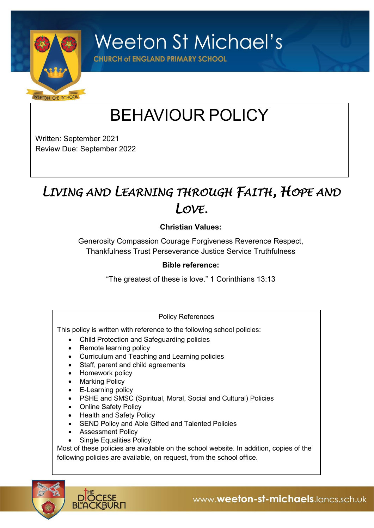

**Weeton St Michael's** 

**CHURCH of ENGLAND PRIMARY SCHOOL** 

# BEHAVIOUR POLICY

Written: September 2021 Review Due: September 2022

# *LIVING AND LEARNING THROUGH FAITH, HOPE AND LOVE.*

# **Christian Values:**

Generosity Compassion Courage Forgiveness Reverence Respect, Thankfulness Trust Perseverance Justice Service Truthfulness

#### **Bible reference:**

"The greatest of these is love." 1 Corinthians 13:13

#### Policy References

This policy is written with reference to the following school policies:

- Child Protection and Safeguarding policies
- Remote learning policy
- Curriculum and Teaching and Learning policies
- Staff, parent and child agreements
- Homework policy
- Marking Policy
- E-Learning policy
- PSHE and SMSC (Spiritual, Moral, Social and Cultural) Policies
- Online Safety Policy
- Health and Safety Policy
- SEND Policy and Able Gifted and Talented Policies
- Assessment Policy
- Single Equalities Policy.

Most of these policies are available on the school website. In addition, copies of the following policies are available, on request, from the school office.

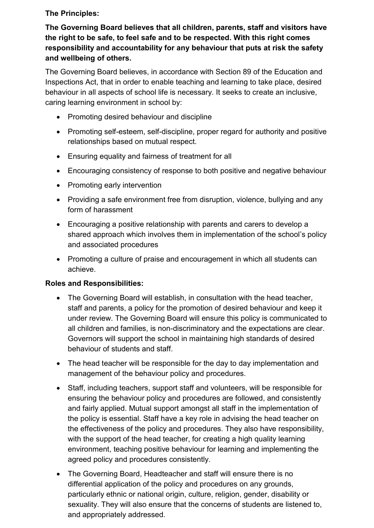# **The Principles:**

**The Governing Board believes that all children, parents, staff and visitors have the right to be safe, to feel safe and to be respected. With this right comes responsibility and accountability for any behaviour that puts at risk the safety and wellbeing of others.**

The Governing Board believes, in accordance with Section 89 of the Education and Inspections Act, that in order to enable teaching and learning to take place, desired behaviour in all aspects of school life is necessary. It seeks to create an inclusive, caring learning environment in school by:

- Promoting desired behaviour and discipline
- Promoting self-esteem, self-discipline, proper regard for authority and positive relationships based on mutual respect.
- Ensuring equality and fairness of treatment for all
- Encouraging consistency of response to both positive and negative behaviour
- Promoting early intervention
- Providing a safe environment free from disruption, violence, bullying and any form of harassment
- Encouraging a positive relationship with parents and carers to develop a shared approach which involves them in implementation of the school's policy and associated procedures
- Promoting a culture of praise and encouragement in which all students can achieve.

# **Roles and Responsibilities:**

- The Governing Board will establish, in consultation with the head teacher, staff and parents, a policy for the promotion of desired behaviour and keep it under review. The Governing Board will ensure this policy is communicated to all children and families, is non-discriminatory and the expectations are clear. Governors will support the school in maintaining high standards of desired behaviour of students and staff.
- The head teacher will be responsible for the day to day implementation and management of the behaviour policy and procedures.
- Staff, including teachers, support staff and volunteers, will be responsible for ensuring the behaviour policy and procedures are followed, and consistently and fairly applied. Mutual support amongst all staff in the implementation of the policy is essential. Staff have a key role in advising the head teacher on the effectiveness of the policy and procedures. They also have responsibility, with the support of the head teacher, for creating a high quality learning environment, teaching positive behaviour for learning and implementing the agreed policy and procedures consistently.
- The Governing Board, Headteacher and staff will ensure there is no differential application of the policy and procedures on any grounds, particularly ethnic or national origin, culture, religion, gender, disability or sexuality. They will also ensure that the concerns of students are listened to, and appropriately addressed.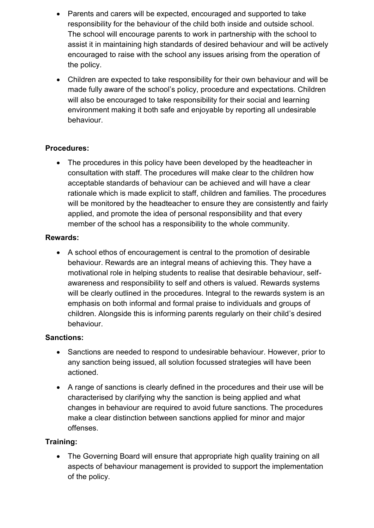- Parents and carers will be expected, encouraged and supported to take responsibility for the behaviour of the child both inside and outside school. The school will encourage parents to work in partnership with the school to assist it in maintaining high standards of desired behaviour and will be actively encouraged to raise with the school any issues arising from the operation of the policy.
- Children are expected to take responsibility for their own behaviour and will be made fully aware of the school's policy, procedure and expectations. Children will also be encouraged to take responsibility for their social and learning environment making it both safe and enjoyable by reporting all undesirable behaviour.

# **Procedures:**

• The procedures in this policy have been developed by the headteacher in consultation with staff. The procedures will make clear to the children how acceptable standards of behaviour can be achieved and will have a clear rationale which is made explicit to staff, children and families. The procedures will be monitored by the headteacher to ensure they are consistently and fairly applied, and promote the idea of personal responsibility and that every member of the school has a responsibility to the whole community.

#### **Rewards:**

• A school ethos of encouragement is central to the promotion of desirable behaviour. Rewards are an integral means of achieving this. They have a motivational role in helping students to realise that desirable behaviour, selfawareness and responsibility to self and others is valued. Rewards systems will be clearly outlined in the procedures. Integral to the rewards system is an emphasis on both informal and formal praise to individuals and groups of children. Alongside this is informing parents regularly on their child's desired behaviour.

#### **Sanctions:**

- Sanctions are needed to respond to undesirable behaviour. However, prior to any sanction being issued, all solution focussed strategies will have been actioned.
- A range of sanctions is clearly defined in the procedures and their use will be characterised by clarifying why the sanction is being applied and what changes in behaviour are required to avoid future sanctions. The procedures make a clear distinction between sanctions applied for minor and major offenses.

# **Training:**

• The Governing Board will ensure that appropriate high quality training on all aspects of behaviour management is provided to support the implementation of the policy.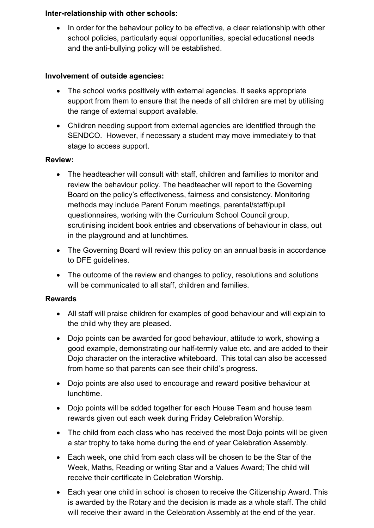#### **Inter-relationship with other schools:**

• In order for the behaviour policy to be effective, a clear relationship with other school policies, particularly equal opportunities, special educational needs and the anti-bullying policy will be established.

#### **Involvement of outside agencies:**

- The school works positively with external agencies. It seeks appropriate support from them to ensure that the needs of all children are met by utilising the range of external support available.
- Children needing support from external agencies are identified through the SENDCO. However, if necessary a student may move immediately to that stage to access support.

#### **Review:**

- The headteacher will consult with staff, children and families to monitor and review the behaviour policy. The headteacher will report to the Governing Board on the policy's effectiveness, fairness and consistency. Monitoring methods may include Parent Forum meetings, parental/staff/pupil questionnaires, working with the Curriculum School Council group, scrutinising incident book entries and observations of behaviour in class, out in the playground and at lunchtimes.
- The Governing Board will review this policy on an annual basis in accordance to DFE guidelines.
- The outcome of the review and changes to policy, resolutions and solutions will be communicated to all staff, children and families.

# **Rewards**

- All staff will praise children for examples of good behaviour and will explain to the child why they are pleased.
- Dojo points can be awarded for good behaviour, attitude to work, showing a good example, demonstrating our half-termly value etc. and are added to their Dojo character on the interactive whiteboard. This total can also be accessed from home so that parents can see their child's progress.
- Dojo points are also used to encourage and reward positive behaviour at lunchtime.
- Dojo points will be added together for each House Team and house team rewards given out each week during Friday Celebration Worship.
- The child from each class who has received the most Dojo points will be given a star trophy to take home during the end of year Celebration Assembly.
- Each week, one child from each class will be chosen to be the Star of the Week, Maths, Reading or writing Star and a Values Award; The child will receive their certificate in Celebration Worship.
- Each year one child in school is chosen to receive the Citizenship Award. This is awarded by the Rotary and the decision is made as a whole staff. The child will receive their award in the Celebration Assembly at the end of the year.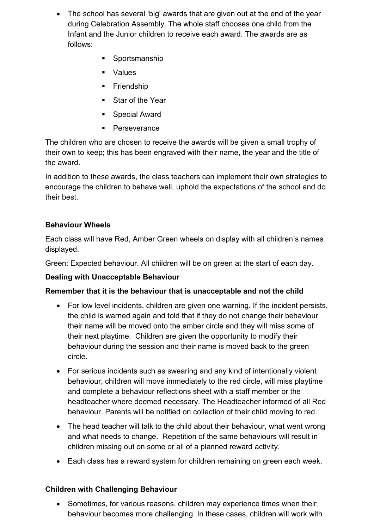- The school has several 'big' awards that are given out at the end of the year during Celebration Assembly. The whole staff chooses one child from the Infant and the Junior children to receive each award. The awards are as follows:
	- Sportsmanship
	- Values
	- **•** Friendship
	- Star of the Year
	- Special Award
	- Perseverance

The children who are chosen to receive the awards will be given a small trophy of their own to keep; this has been engraved with their name, the year and the title of the award.

In addition to these awards, the class teachers can implement their own strategies to encourage the children to behave well, uphold the expectations of the school and do their best.

# **Behaviour Wheels**

Each class will have Red, Amber Green wheels on display with all children's names displayed.

Green: Expected behaviour. All children will be on green at the start of each day.

# **Dealing with Unacceptable Behaviour**

# **Remember that it is the behaviour that is unacceptable and not the child**

- For low level incidents, children are given one warning. If the incident persists, the child is warned again and told that if they do not change their behaviour their name will be moved onto the amber circle and they will miss some of their next playtime. Children are given the opportunity to modify their behaviour during the session and their name is moved back to the green circle.
- For serious incidents such as swearing and any kind of intentionally violent behaviour, children will move immediately to the red circle, will miss playtime and complete a behaviour reflections sheet with a staff member or the headteacher where deemed necessary. The Headteacher informed of all Red behaviour. Parents will be notified on collection of their child moving to red.
- The head teacher will talk to the child about their behaviour, what went wrong and what needs to change. Repetition of the same behaviours will result in children missing out on some or all of a planned reward activity.
- Each class has a reward system for children remaining on green each week.

# **Children with Challenging Behaviour**

• Sometimes, for various reasons, children may experience times when their behaviour becomes more challenging. In these cases, children will work with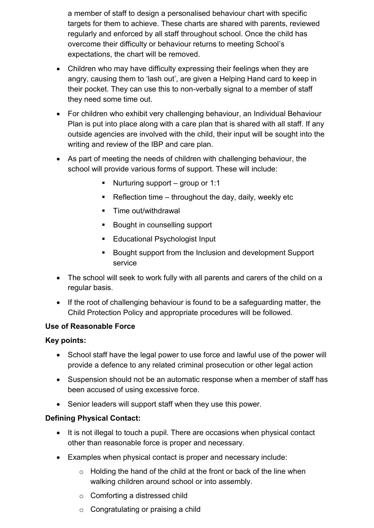a member of staff to design a personalised behaviour chart with specific targets for them to achieve. These charts are shared with parents, reviewed regularly and enforced by all staff throughout school. Once the child has overcome their difficulty or behaviour returns to meeting School's expectations, the chart will be removed.

- Children who may have difficulty expressing their feelings when they are angry, causing them to 'lash out', are given a Helping Hand card to keep in their pocket. They can use this to non-verbally signal to a member of staff they need some time out.
- For children who exhibit very challenging behaviour, an Individual Behaviour Plan is put into place along with a care plan that is shared with all staff. If any outside agencies are involved with the child, their input will be sought into the writing and review of the IBP and care plan.
- As part of meeting the needs of children with challenging behaviour, the school will provide various forms of support. These will include:
	- $\blacksquare$  Nurturing support group or 1:1
	- **EXECT** Reflection time throughout the day, daily, weekly etc
	- Time out/withdrawal
	- Bought in counselling support
	- Educational Psychologist Input
	- Bought support from the Inclusion and development Support service
- The school will seek to work fully with all parents and carers of the child on a regular basis.
- If the root of challenging behaviour is found to be a safeguarding matter, the Child Protection Policy and appropriate procedures will be followed.

# **Use of Reasonable Force**

#### **Key points:**

- School staff have the legal power to use force and lawful use of the power will provide a defence to any related criminal prosecution or other legal action
- Suspension should not be an automatic response when a member of staff has been accused of using excessive force.
- Senior leaders will support staff when they use this power.

# **Defining Physical Contact:**

- It is not illegal to touch a pupil. There are occasions when physical contact other than reasonable force is proper and necessary.
- Examples when physical contact is proper and necessary include:
	- $\circ$  Holding the hand of the child at the front or back of the line when walking children around school or into assembly.
	- o Comforting a distressed child
	- o Congratulating or praising a child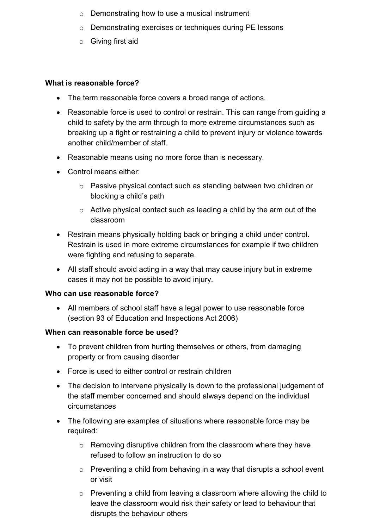- o Demonstrating how to use a musical instrument
- o Demonstrating exercises or techniques during PE lessons
- o Giving first aid

#### **What is reasonable force?**

- The term reasonable force covers a broad range of actions.
- Reasonable force is used to control or restrain. This can range from guiding a child to safety by the arm through to more extreme circumstances such as breaking up a fight or restraining a child to prevent injury or violence towards another child/member of staff.
- Reasonable means using no more force than is necessary.
- Control means either:
	- o Passive physical contact such as standing between two children or blocking a child's path
	- o Active physical contact such as leading a child by the arm out of the classroom
- Restrain means physically holding back or bringing a child under control. Restrain is used in more extreme circumstances for example if two children were fighting and refusing to separate.
- All staff should avoid acting in a way that may cause injury but in extreme cases it may not be possible to avoid injury.

#### **Who can use reasonable force?**

• All members of school staff have a legal power to use reasonable force (section 93 of Education and Inspections Act 2006)

#### **When can reasonable force be used?**

- To prevent children from hurting themselves or others, from damaging property or from causing disorder
- Force is used to either control or restrain children
- The decision to intervene physically is down to the professional judgement of the staff member concerned and should always depend on the individual circumstances
- The following are examples of situations where reasonable force may be required:
	- o Removing disruptive children from the classroom where they have refused to follow an instruction to do so
	- o Preventing a child from behaving in a way that disrupts a school event or visit
	- o Preventing a child from leaving a classroom where allowing the child to leave the classroom would risk their safety or lead to behaviour that disrupts the behaviour others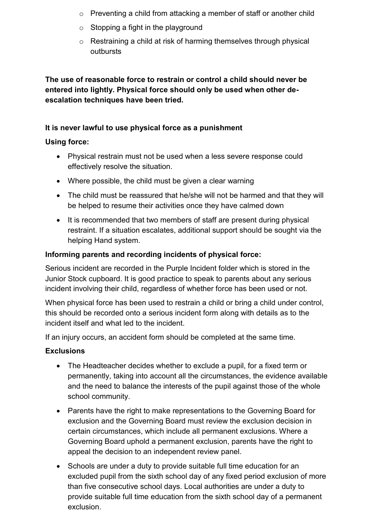- o Preventing a child from attacking a member of staff or another child
- o Stopping a fight in the playground
- o Restraining a child at risk of harming themselves through physical outbursts

**The use of reasonable force to restrain or control a child should never be entered into lightly. Physical force should only be used when other deescalation techniques have been tried.**

# **It is never lawful to use physical force as a punishment**

# **Using force:**

- Physical restrain must not be used when a less severe response could effectively resolve the situation.
- Where possible, the child must be given a clear warning
- The child must be reassured that he/she will not be harmed and that they will be helped to resume their activities once they have calmed down
- It is recommended that two members of staff are present during physical restraint. If a situation escalates, additional support should be sought via the helping Hand system.

# **Informing parents and recording incidents of physical force:**

Serious incident are recorded in the Purple Incident folder which is stored in the Junior Stock cupboard. It is good practice to speak to parents about any serious incident involving their child, regardless of whether force has been used or not.

When physical force has been used to restrain a child or bring a child under control, this should be recorded onto a serious incident form along with details as to the incident itself and what led to the incident.

If an injury occurs, an accident form should be completed at the same time.

# **Exclusions**

- The Headteacher decides whether to exclude a pupil, for a fixed term or permanently, taking into account all the circumstances, the evidence available and the need to balance the interests of the pupil against those of the whole school community.
- Parents have the right to make representations to the Governing Board for exclusion and the Governing Board must review the exclusion decision in certain circumstances, which include all permanent exclusions. Where a Governing Board uphold a permanent exclusion, parents have the right to appeal the decision to an independent review panel.
- Schools are under a duty to provide suitable full time education for an excluded pupil from the sixth school day of any fixed period exclusion of more than five consecutive school days. Local authorities are under a duty to provide suitable full time education from the sixth school day of a permanent exclusion.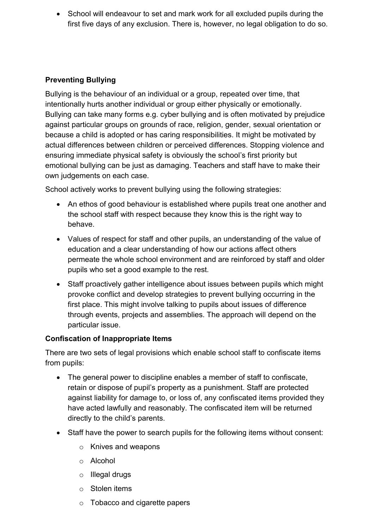• School will endeavour to set and mark work for all excluded pupils during the first five days of any exclusion. There is, however, no legal obligation to do so.

# **Preventing Bullying**

Bullying is the behaviour of an individual or a group, repeated over time, that intentionally hurts another individual or group either physically or emotionally. Bullying can take many forms e.g. cyber bullying and is often motivated by prejudice against particular groups on grounds of race, religion, gender, sexual orientation or because a child is adopted or has caring responsibilities. It might be motivated by actual differences between children or perceived differences. Stopping violence and ensuring immediate physical safety is obviously the school's first priority but emotional bullying can be just as damaging. Teachers and staff have to make their own judgements on each case.

School actively works to prevent bullying using the following strategies:

- An ethos of good behaviour is established where pupils treat one another and the school staff with respect because they know this is the right way to behave.
- Values of respect for staff and other pupils, an understanding of the value of education and a clear understanding of how our actions affect others permeate the whole school environment and are reinforced by staff and older pupils who set a good example to the rest.
- Staff proactively gather intelligence about issues between pupils which might provoke conflict and develop strategies to prevent bullying occurring in the first place. This might involve talking to pupils about issues of difference through events, projects and assemblies. The approach will depend on the particular issue.

# **Confiscation of Inappropriate Items**

There are two sets of legal provisions which enable school staff to confiscate items from pupils:

- The general power to discipline enables a member of staff to confiscate, retain or dispose of pupil's property as a punishment. Staff are protected against liability for damage to, or loss of, any confiscated items provided they have acted lawfully and reasonably. The confiscated item will be returned directly to the child's parents.
- Staff have the power to search pupils for the following items without consent:
	- o Knives and weapons
	- o Alcohol
	- o Illegal drugs
	- o Stolen items
	- o Tobacco and cigarette papers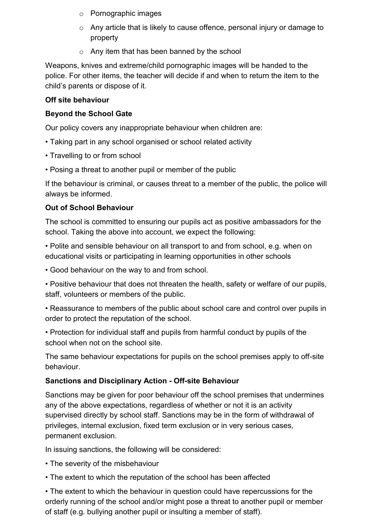- o Pornographic images
- o Any article that is likely to cause offence, personal injury or damage to property
- o Any item that has been banned by the school

Weapons, knives and extreme/child pornographic images will be handed to the police. For other items, the teacher will decide if and when to return the item to the child's parents or dispose of it.

#### **Off site behaviour**

#### **Beyond the School Gate**

Our policy covers any inappropriate behaviour when children are:

- Taking part in any school organised or school related activity
- Travelling to or from school
- Posing a threat to another pupil or member of the public

If the behaviour is criminal, or causes threat to a member of the public, the police will always be informed.

#### **Out of School Behaviour**

The school is committed to ensuring our pupils act as positive ambassadors for the school. Taking the above into account, we expect the following:

• Polite and sensible behaviour on all transport to and from school, e.g. when on educational visits or participating in learning opportunities in other schools

• Good behaviour on the way to and from school.

• Positive behaviour that does not threaten the health, safety or welfare of our pupils, staff, volunteers or members of the public.

• Reassurance to members of the public about school care and control over pupils in order to protect the reputation of the school.

• Protection for individual staff and pupils from harmful conduct by pupils of the school when not on the school site.

The same behaviour expectations for pupils on the school premises apply to off-site behaviour.

#### **Sanctions and Disciplinary Action - Off-site Behaviour**

Sanctions may be given for poor behaviour off the school premises that undermines any of the above expectations, regardless of whether or not it is an activity supervised directly by school staff. Sanctions may be in the form of withdrawal of privileges, internal exclusion, fixed term exclusion or in very serious cases, permanent exclusion.

In issuing sanctions, the following will be considered:

- The severity of the misbehaviour
- The extent to which the reputation of the school has been affected

• The extent to which the behaviour in question could have repercussions for the orderly running of the school and/or might pose a threat to another pupil or member of staff (e.g. bullying another pupil or insulting a member of staff).